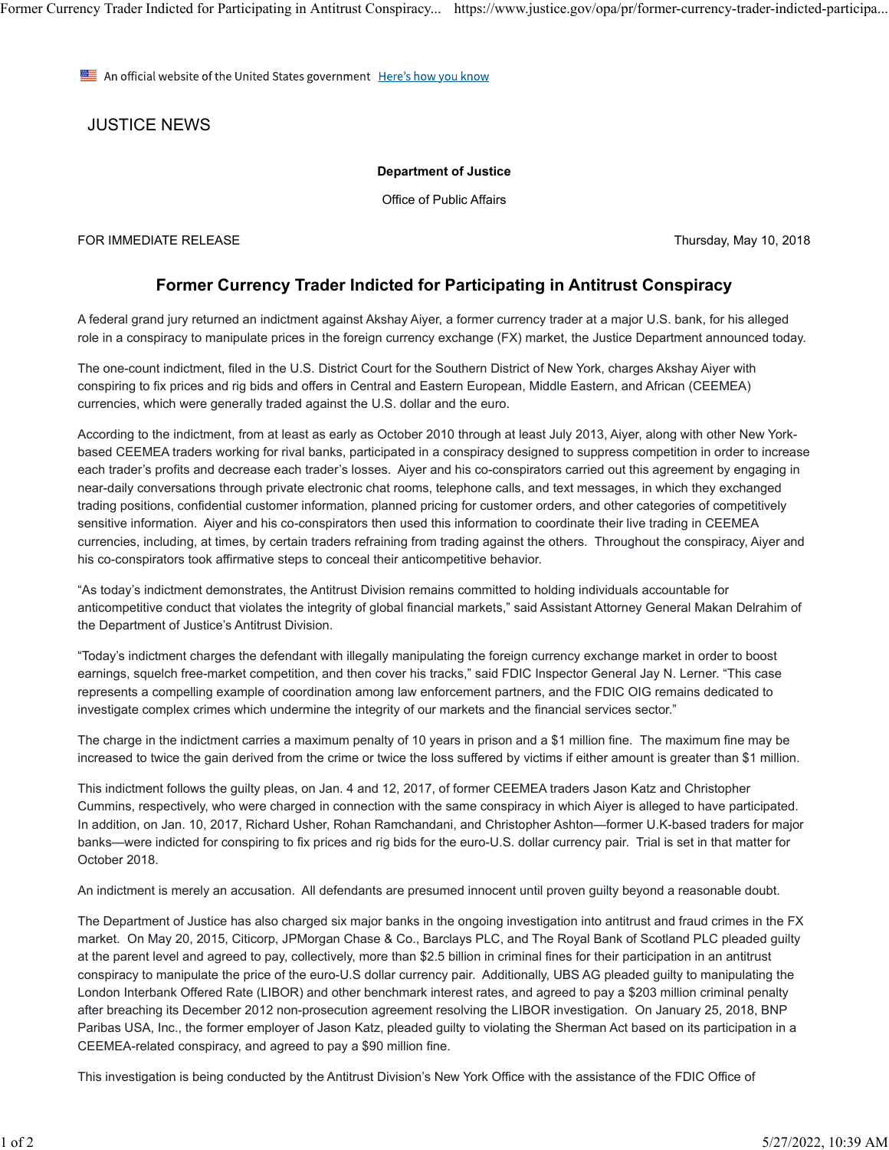Former Currency Trader Indicted for Participating in Antitrust Conspiracy... https://www.justice.gov/opa/pr/former-currency-trader-indicted-participa...

An official website of the United States government Here's how you know

JUSTICE NEWS

## **Department of Justice**

Office of Public Affairs

FOR IMMEDIATE RELEASE Thursday, May 10, 2018

## **Former Currency Trader Indicted for Participating in Antitrust Conspiracy**

A federal grand jury returned an indictment against Akshay Aiyer, a former currency trader at a major U.S. bank, for his alleged role in a conspiracy to manipulate prices in the foreign currency exchange (FX) market, the Justice Department announced today.

The one-count indictment, filed in the U.S. District Court for the Southern District of New York, charges Akshay Aiyer with conspiring to fix prices and rig bids and offers in Central and Eastern European, Middle Eastern, and African (CEEMEA) currencies, which were generally traded against the U.S. dollar and the euro.

According to the indictment, from at least as early as October 2010 through at least July 2013, Aiyer, along with other New Yorkbased CEEMEA traders working for rival banks, participated in a conspiracy designed to suppress competition in order to increase each trader's profits and decrease each trader's losses. Aiyer and his co-conspirators carried out this agreement by engaging in near-daily conversations through private electronic chat rooms, telephone calls, and text messages, in which they exchanged trading positions, confidential customer information, planned pricing for customer orders, and other categories of competitively sensitive information. Aiyer and his co-conspirators then used this information to coordinate their live trading in CEEMEA currencies, including, at times, by certain traders refraining from trading against the others. Throughout the conspiracy, Aiyer and his co-conspirators took affirmative steps to conceal their anticompetitive behavior.

"As today's indictment demonstrates, the Antitrust Division remains committed to holding individuals accountable for anticompetitive conduct that violates the integrity of global financial markets," said Assistant Attorney General Makan Delrahim of the Department of Justice's Antitrust Division.

"Today's indictment charges the defendant with illegally manipulating the foreign currency exchange market in order to boost earnings, squelch free-market competition, and then cover his tracks," said FDIC Inspector General Jay N. Lerner. "This case represents a compelling example of coordination among law enforcement partners, and the FDIC OIG remains dedicated to investigate complex crimes which undermine the integrity of our markets and the financial services sector."

The charge in the indictment carries a maximum penalty of 10 years in prison and a \$1 million fine. The maximum fine may be increased to twice the gain derived from the crime or twice the loss suffered by victims if either amount is greater than \$1 million.

This indictment follows the guilty pleas, on Jan. 4 and 12, 2017, of former CEEMEA traders Jason Katz and Christopher Cummins, respectively, who were charged in connection with the same conspiracy in which Aiyer is alleged to have participated. In addition, on Jan. 10, 2017, Richard Usher, Rohan Ramchandani, and Christopher Ashton—former U.K-based traders for major banks—were indicted for conspiring to fix prices and rig bids for the euro-U.S. dollar currency pair. Trial is set in that matter for October 2018.

An indictment is merely an accusation. All defendants are presumed innocent until proven guilty beyond a reasonable doubt.

The Department of Justice has also charged six major banks in the ongoing investigation into antitrust and fraud crimes in the FX market. On May 20, 2015, Citicorp, JPMorgan Chase & Co., Barclays PLC, and The Royal Bank of Scotland PLC pleaded guilty at the parent level and agreed to pay, collectively, more than \$2.5 billion in criminal fines for their participation in an antitrust conspiracy to manipulate the price of the euro-U.S dollar currency pair. Additionally, UBS AG pleaded guilty to manipulating the London Interbank Offered Rate (LIBOR) and other benchmark interest rates, and agreed to pay a \$203 million criminal penalty after breaching its December 2012 non-prosecution agreement resolving the LIBOR investigation. On January 25, 2018, BNP Paribas USA, Inc., the former employer of Jason Katz, pleaded guilty to violating the Sherman Act based on its participation in a CEEMEA-related conspiracy, and agreed to pay a \$90 million fine.

This investigation is being conducted by the Antitrust Division's New York Office with the assistance of the FDIC Office of